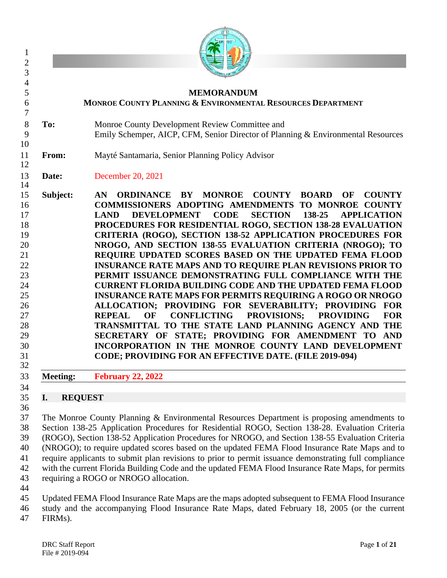|                      | <b>MEMORANDUM</b><br><b>MONROE COUNTY PLANNING &amp; ENVIRONMENTAL RESOURCES DEPARTMENT</b>                                                                                                                                                                                                                                                                                                                                                                                                                                                                                                                                                                                                                                                                                                                                                                                                                                                                                                                                                                                                                                                                    |
|----------------------|----------------------------------------------------------------------------------------------------------------------------------------------------------------------------------------------------------------------------------------------------------------------------------------------------------------------------------------------------------------------------------------------------------------------------------------------------------------------------------------------------------------------------------------------------------------------------------------------------------------------------------------------------------------------------------------------------------------------------------------------------------------------------------------------------------------------------------------------------------------------------------------------------------------------------------------------------------------------------------------------------------------------------------------------------------------------------------------------------------------------------------------------------------------|
| To:                  | Monroe County Development Review Committee and<br>Emily Schemper, AICP, CFM, Senior Director of Planning & Environmental Resources                                                                                                                                                                                                                                                                                                                                                                                                                                                                                                                                                                                                                                                                                                                                                                                                                                                                                                                                                                                                                             |
| From:                | Mayté Santamaria, Senior Planning Policy Advisor                                                                                                                                                                                                                                                                                                                                                                                                                                                                                                                                                                                                                                                                                                                                                                                                                                                                                                                                                                                                                                                                                                               |
| Date:                | December 20, 2021                                                                                                                                                                                                                                                                                                                                                                                                                                                                                                                                                                                                                                                                                                                                                                                                                                                                                                                                                                                                                                                                                                                                              |
| Subject:             | ORDINANCE BY MONROE COUNTY BOARD<br>OF<br><b>COUNTY</b><br>AN<br>COMMISSIONERS ADOPTING AMENDMENTS TO MONROE COUNTY<br><b>DEVELOPMENT</b><br><b>CODE</b><br><b>SECTION</b><br>138-25<br><b>APPLICATION</b><br><b>LAND</b><br>PROCEDURES FOR RESIDENTIAL ROGO, SECTION 138-28 EVALUATION<br><b>CRITERIA (ROGO), SECTION 138-52 APPLICATION PROCEDURES FOR</b><br>NROGO, AND SECTION 138-55 EVALUATION CRITERIA (NROGO); TO<br>REQUIRE UPDATED SCORES BASED ON THE UPDATED FEMA FLOOD<br><b>INSURANCE RATE MAPS AND TO REQUIRE PLAN REVISIONS PRIOR TO</b><br>PERMIT ISSUANCE DEMONSTRATING FULL COMPLIANCE WITH THE<br><b>CURRENT FLORIDA BUILDING CODE AND THE UPDATED FEMA FLOOD</b><br><b>INSURANCE RATE MAPS FOR PERMITS REQUIRING A ROGO OR NROGO</b><br>ALLOCATION; PROVIDING FOR SEVERABILITY; PROVIDING FOR<br><b>CONFLICTING</b><br><b>PROVISIONS;</b><br><b>PROVIDING</b><br><b>FOR</b><br><b>REPEAL</b><br>OF<br>TRANSMITTAL TO THE STATE LAND PLANNING AGENCY AND THE<br>SECRETARY OF STATE; PROVIDING FOR AMENDMENT TO AND<br>INCORPORATION IN THE MONROE COUNTY LAND DEVELOPMENT<br><b>CODE; PROVIDING FOR AN EFFECTIVE DATE. (FILE 2019-094)</b> |
| <b>Meeting:</b>      | <b>February 22, 2022</b>                                                                                                                                                                                                                                                                                                                                                                                                                                                                                                                                                                                                                                                                                                                                                                                                                                                                                                                                                                                                                                                                                                                                       |
| I.<br><b>REQUEST</b> |                                                                                                                                                                                                                                                                                                                                                                                                                                                                                                                                                                                                                                                                                                                                                                                                                                                                                                                                                                                                                                                                                                                                                                |
|                      | The Monroe County Planning & Environmental Resources Department is proposing amendments to<br>Section 138-25 Application Procedures for Residential ROGO, Section 138-28. Evaluation Criteria<br>(ROGO), Section 138-52 Application Procedures for NROGO, and Section 138-55 Evaluation Criteria<br>(NROGO); to require updated scores based on the updated FEMA Flood Insurance Rate Maps and to<br>require applicants to submit plan revisions to prior to permit issuance demonstrating full compliance                                                                                                                                                                                                                                                                                                                                                                                                                                                                                                                                                                                                                                                     |

 requiring a ROGO or NROGO allocation. 

Updated FEMA Flood Insurance Rate Maps are the maps adopted subsequent to FEMA Flood Insurance

with the current Florida Building Code and the updated FEMA Flood Insurance Rate Maps, for permits

study and the accompanying Flood Insurance Rate Maps, dated February 18, 2005 (or the current

FIRMs).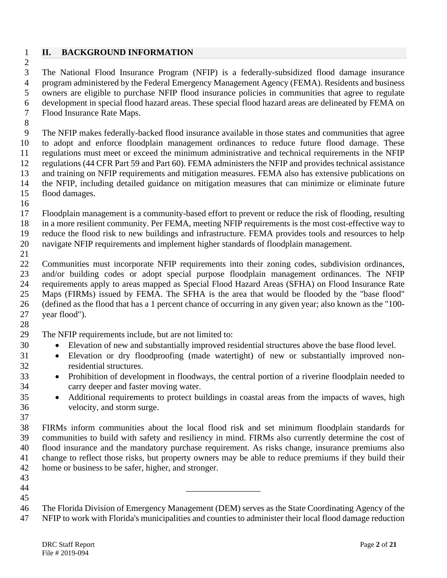## **II. BACKGROUND INFORMATION**

 The National Flood Insurance Program (NFIP) is a federally-subsidized flood damage insurance program administered by the Federal Emergency Management Agency (FEMA). Residents and business owners are eligible to purchase NFIP flood insurance policies in communities that agree to regulate development in special flood hazard areas. These special flood hazard areas are delineated by FEMA on Flood Insurance Rate Maps.

 The NFIP makes federally-backed flood insurance available in those states and communities that agree to adopt and enforce floodplain management ordinances to reduce future flood damage. These regulations must meet or exceed the minimum administrative and technical requirements in the NFIP regulations (44 CFR Part 59 and Part 60). FEMA administers the NFIP and provides technical assistance and training on NFIP requirements and mitigation measures. FEMA also has extensive publications on the NFIP, including detailed guidance on mitigation measures that can minimize or eliminate future flood damages.

 Floodplain management is a community-based effort to prevent or reduce the risk of flooding, resulting in a more resilient community. Per FEMA, meeting NFIP requirements is the most cost-effective way to reduce the flood risk to new buildings and infrastructure. FEMA provides tools and resources to help navigate NFIP requirements and implement higher standards of floodplain management.

 Communities must incorporate NFIP requirements into their zoning codes, subdivision ordinances, and/or building codes or adopt special purpose floodplain management ordinances. The NFIP requirements apply to areas mapped as Special Flood Hazard Areas (SFHA) on Flood Insurance Rate Maps (FIRMs) issued by FEMA. The SFHA is the area that would be flooded by the "base flood" (defined as the flood that has a 1 percent chance of occurring in any given year; also known as the "100- year flood"). 

The NFIP requirements include, but are not limited to:

- Elevation of new and substantially improved residential structures above the base flood level.
- Elevation or dry floodproofing (made watertight) of new or substantially improved non-residential structures.
- Prohibition of development in floodways, the central portion of a riverine floodplain needed to carry deeper and faster moving water.
- 35 Additional requirements to protect buildings in coastal areas from the impacts of waves, high velocity, and storm surge.

 FIRMs inform communities about the local flood risk and set minimum floodplain standards for communities to build with safety and resiliency in mind. FIRMs also currently determine the cost of flood insurance and the mandatory purchase requirement. As risks change, insurance premiums also change to reflect those risks, but property owners may be able to reduce premiums if they build their home or business to be safer, higher, and stronger.

- \_\_\_\_\_\_\_\_\_\_\_\_\_\_\_\_\_
- 

 The Florida Division of Emergency Management (DEM) serves as the State Coordinating Agency of the NFIP to work with Florida's municipalities and counties to administer their local flood damage reduction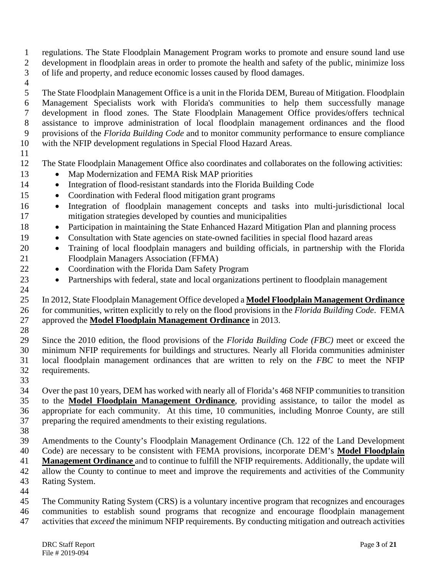- regulations. The State Floodplain Management Program works to promote and ensure sound land use development in floodplain areas in order to promote the health and safety of the public, minimize loss of life and property, and reduce economic losses caused by flood damages.
- 

 The State Floodplain Management Office is a unit in the Florida DEM, Bureau of Mitigation. Floodplain Management Specialists work with Florida's communities to help them successfully manage development in flood zones. The State Floodplain Management Office provides/offers technical assistance to improve administration of local floodplain management ordinances and the flood provisions of the *Florida Building Code* and to monitor community performance to ensure compliance with the NFIP development regulations in Special Flood Hazard Areas.

The State Floodplain Management Office also coordinates and collaborates on the following activities:

- 13 Map Modernization and FEMA Risk MAP priorities
- Integration of flood-resistant standards into the Florida Building Code
- Coordination with Federal flood mitigation grant programs
- Integration of floodplain management concepts and tasks into multi-jurisdictional local mitigation strategies developed by counties and municipalities
- Participation in maintaining the State Enhanced Hazard Mitigation Plan and planning process
- Consultation with State agencies on state-owned facilities in special flood hazard areas
- Training of local floodplain managers and building officials, in partnership with the Florida Floodplain Managers Association (FFMA)
- Coordination with the Florida Dam Safety Program
- Partnerships with federal, state and local organizations pertinent to floodplain management

 In 2012, State Floodplain Management Office developed a **Model Floodplain Management Ordinance** 26 for communities, written explicitly to rely on the flood provisions in the *Florida Building Code*. FEMA<br>27 approved the **Model Floodplain Management Ordinance** in 2013. approved the **Model Floodplain Management Ordinance** in 2013.

 Since the 2010 edition, the flood provisions of the *Florida Building Code (FBC)* meet or exceed the minimum NFIP requirements for buildings and structures. Nearly all Florida communities administer local floodplain management ordinances that are written to rely on the *FBC* to meet the NFIP requirements.

 Over the past 10 years, DEM has worked with nearly all of Florida's 468 NFIP communities to transition to the **Model Floodplain Management Ordinance**, providing assistance, to tailor the model as appropriate for each community. At this time, 10 communities, including Monroe County, are still preparing the required amendments to their existing regulations.

 Amendments to the County's Floodplain Management Ordinance (Ch. 122 of the Land Development Code) are necessary to be consistent with FEMA provisions, incorporate DEM's **Model Floodplain** 

**Management Ordinance** and to continue to fulfill the NFIP requirements. Additionally, the update will

 allow the County to continue to meet and improve the requirements and activities of the Community Rating System.

 The Community Rating System (CRS) is a voluntary incentive program that recognizes and encourages communities to establish sound programs that recognize and encourage floodplain management activities that *exceed* the minimum NFIP requirements. By conducting mitigation and outreach activities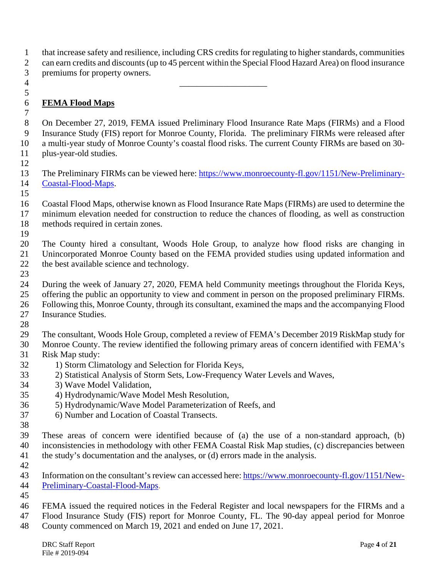that increase safety and resilience, including CRS credits for regulating to higher standards, communities can earn credits and discounts (up to 45 percent within the Special Flood Hazard Area) on flood insurance premiums for property owners.

 \_\_\_\_\_\_\_\_\_\_\_\_\_\_\_\_\_\_\_\_ 

## **FEMA Flood Maps**

 On December 27, 2019, FEMA issued Preliminary Flood Insurance Rate Maps (FIRMs) and a Flood Insurance Study (FIS) report for Monroe County, Florida. The preliminary FIRMs were released after a multi-year study of Monroe County's coastal flood risks. The current County FIRMs are based on 30- plus-year-old studies.

 The Preliminary FIRMs can be viewed here: [https://www.monroecounty-fl.gov/1151/New-Preliminary-](https://www.monroecounty-fl.gov/1151/New-Preliminary-Coastal-Flood-Maps)[Coastal-Flood-Maps.](https://www.monroecounty-fl.gov/1151/New-Preliminary-Coastal-Flood-Maps)

 Coastal Flood Maps, otherwise known as Flood Insurance Rate Maps (FIRMs) are used to determine the minimum elevation needed for construction to reduce the chances of flooding, as well as construction methods required in certain zones.

 The County hired a consultant, Woods Hole Group, to analyze how flood risks are changing in Unincorporated Monroe County based on the FEMA provided studies using updated information and the best available science and technology.

During the week of January 27, 2020, FEMA held Community meetings throughout the Florida Keys,

offering the public an opportunity to view and comment in person on the proposed preliminary FIRMs.

Following this, Monroe County, through its consultant, examined the maps and the accompanying Flood

 Insurance Studies. 

The consultant, Woods Hole Group, completed a review of FEMA's December 2019 RiskMap study for

 Monroe County. The review identified the following primary areas of concern identified with FEMA's Risk Map study:

- 
- 32 1) Storm Climatology and Selection for Florida Keys,
- 2) Statistical Analysis of Storm Sets, Low-Frequency Water Levels and Waves,
- 3) Wave Model Validation,
- 4) Hydrodynamic/Wave Model Mesh Resolution,
- 5) Hydrodynamic/Wave Model Parameterization of Reefs, and
- 6) Number and Location of Coastal Transects.
- 

 These areas of concern were identified because of (a) the use of a non-standard approach, (b) inconsistencies in methodology with other FEMA Coastal Risk Map studies, (c) discrepancies between the study's documentation and the analyses, or (d) errors made in the analysis.

 Information on the consultant's review can accessed here: [https://www.monroecounty-fl.gov/1151/New-](https://www.monroecounty-fl.gov/1151/New-Preliminary-Coastal-Flood-Maps)[Preliminary-Coastal-Flood-Maps.](https://www.monroecounty-fl.gov/1151/New-Preliminary-Coastal-Flood-Maps)

 FEMA issued the required notices in the Federal Register and local newspapers for the FIRMs and a Flood Insurance Study (FIS) report for Monroe County, FL. The 90-day appeal period for Monroe

County commenced on March 19, 2021 and ended on June 17, 2021.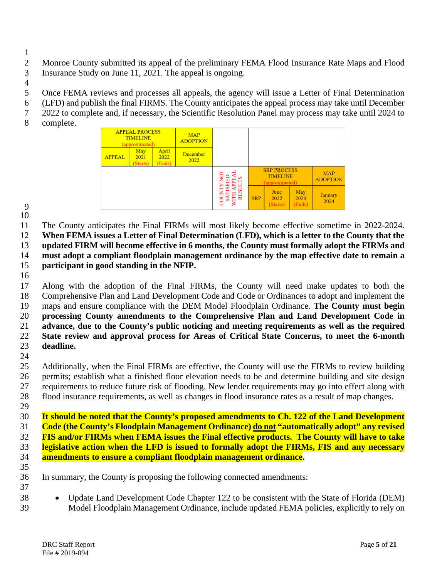- Monroe County submitted its appeal of the preliminary FEMA Flood Insurance Rate Maps and Flood
- Insurance Study on June 11, 2021. The appeal is ongoing.
- 
- Once FEMA reviews and processes all appeals, the agency will issue a Letter of Final Determination
- (LFD) and publish the final FIRMS. The County anticipates the appeal process may take until December
- 2022 to complete and, if necessary, the Scientific Resolution Panel may process may take until 2024 to
- complete.



 

 The County anticipates the Final FIRMs will most likely become effective sometime in 2022-2024. **When FEMA issues a Letter of Final Determination (LFD), which is a letter to the County that the updated FIRM will become effective in 6 months, the County must formally adopt the FIRMs and must adopt a compliant floodplain management ordinance by the map effective date to remain a participant in good standing in the NFIP.**

 Along with the adoption of the Final FIRMs, the County will need make updates to both the Comprehensive Plan and Land Development Code and Code or Ordinances to adopt and implement the maps and ensure compliance with the DEM Model Floodplain Ordinance. **The County must begin processing County amendments to the Comprehensive Plan and Land Development Code in advance, due to the County's public noticing and meeting requirements as well as the required State review and approval process for Areas of Critical State Concerns, to meet the 6-month deadline.** 

- Additionally, when the Final FIRMs are effective, the County will use the FIRMs to review building permits; establish what a finished floor elevation needs to be and determine building and site design requirements to reduce future risk of flooding. New lender requirements may go into effect along with flood insurance requirements, as well as changes in flood insurance rates as a result of map changes.
- **It should be noted that the County's proposed amendments to Ch. 122 of the Land Development Code (the County's Floodplain Management Ordinance) do not "automatically adopt" any revised FIS and/or FIRMs when FEMA issues the Final effective products. The County will have to take legislative action when the LFD is issued to formally adopt the FIRMs, FIS and any necessary amendments to ensure a compliant floodplain management ordinance.**
- 
- In summary, the County is proposing the following connected amendments:
- 
- Update Land Development Code Chapter 122 to be consistent with the State of Florida (DEM) Model Floodplain Management Ordinance, include updated FEMA policies, explicitly to rely on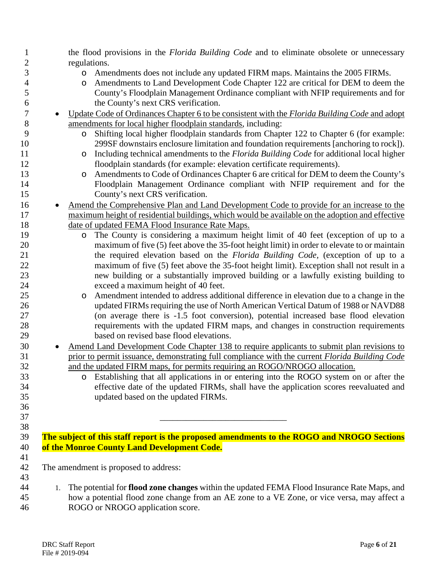| 1              | the flood provisions in the <i>Florida Building Code</i> and to eliminate obsolete or unnecessary                                                                                                               |
|----------------|-----------------------------------------------------------------------------------------------------------------------------------------------------------------------------------------------------------------|
| $\overline{c}$ | regulations.                                                                                                                                                                                                    |
| 3              | Amendments does not include any updated FIRM maps. Maintains the 2005 FIRMs.<br>$\circ$                                                                                                                         |
| 4              | Amendments to Land Development Code Chapter 122 are critical for DEM to deem the<br>O                                                                                                                           |
| 5              | County's Floodplain Management Ordinance compliant with NFIP requirements and for                                                                                                                               |
| 6              | the County's next CRS verification.                                                                                                                                                                             |
| 7              | Update Code of Ordinances Chapter 6 to be consistent with the Florida Building Code and adopt<br>$\bullet$                                                                                                      |
| 8              | amendments for local higher floodplain standards, including:                                                                                                                                                    |
| 9              | Shifting local higher floodplain standards from Chapter 122 to Chapter 6 (for example:<br>$\circ$                                                                                                               |
| 10             | 299SF downstairs enclosure limitation and foundation requirements [anchoring to rock]).                                                                                                                         |
| 11             | Including technical amendments to the <i>Florida Building Code</i> for additional local higher<br>O                                                                                                             |
| 12             | floodplain standards (for example: elevation certificate requirements).                                                                                                                                         |
| 13             | Amendments to Code of Ordinances Chapter 6 are critical for DEM to deem the County's<br>$\circ$                                                                                                                 |
| 14             | Floodplain Management Ordinance compliant with NFIP requirement and for the                                                                                                                                     |
| 15             | County's next CRS verification.                                                                                                                                                                                 |
| 16             | Amend the Comprehensive Plan and Land Development Code to provide for an increase to the                                                                                                                        |
| 17             | maximum height of residential buildings, which would be available on the adoption and effective                                                                                                                 |
| 18             | date of updated FEMA Flood Insurance Rate Maps.                                                                                                                                                                 |
| 19             | The County is considering a maximum height limit of 40 feet (exception of up to a<br>O                                                                                                                          |
| 20             | maximum of five (5) feet above the 35-foot height limit) in order to elevate to or maintain                                                                                                                     |
| 21             | the required elevation based on the Florida Building Code, (exception of up to a                                                                                                                                |
| 22             | maximum of five (5) feet above the 35-foot height limit). Exception shall not result in a                                                                                                                       |
| 23             | new building or a substantially improved building or a lawfully existing building to                                                                                                                            |
| 24             | exceed a maximum height of 40 feet.                                                                                                                                                                             |
| 25             | Amendment intended to address additional difference in elevation due to a change in the<br>$\circ$                                                                                                              |
| 26             | updated FIRMs requiring the use of North American Vertical Datum of 1988 or NAVD88                                                                                                                              |
| 27             | (on average there is -1.5 foot conversion), potential increased base flood elevation                                                                                                                            |
| 28             | requirements with the updated FIRM maps, and changes in construction requirements                                                                                                                               |
| 29             | based on revised base flood elevations.                                                                                                                                                                         |
| 30             |                                                                                                                                                                                                                 |
| 31             | <u>Amend Land Development Code Chapter 138 to require applicants to submit plan revisions to</u><br>$\bullet$<br>prior to permit issuance, demonstrating full compliance with the current Florida Building Code |
| 32             | and the updated FIRM maps, for permits requiring an ROGO/NROGO allocation.                                                                                                                                      |
|                |                                                                                                                                                                                                                 |
| 33<br>34       | Establishing that all applications in or entering into the ROGO system on or after the<br>$\circ$                                                                                                               |
|                | effective date of the updated FIRMs, shall have the application scores reevaluated and                                                                                                                          |
| 35             | updated based on the updated FIRMs.                                                                                                                                                                             |
| 36             |                                                                                                                                                                                                                 |
| 37             |                                                                                                                                                                                                                 |
| 38             |                                                                                                                                                                                                                 |
| 39             | The subject of this staff report is the proposed amendments to the ROGO and NROGO Sections                                                                                                                      |
| 40             | of the Monroe County Land Development Code.                                                                                                                                                                     |
| 41             |                                                                                                                                                                                                                 |
| 42             | The amendment is proposed to address:                                                                                                                                                                           |
| 43             |                                                                                                                                                                                                                 |
| 44             | The potential for flood zone changes within the updated FEMA Flood Insurance Rate Maps, and<br>1.                                                                                                               |
| 45             | how a potential flood zone change from an AE zone to a VE Zone, or vice versa, may affect a                                                                                                                     |
| 46             | ROGO or NROGO application score.                                                                                                                                                                                |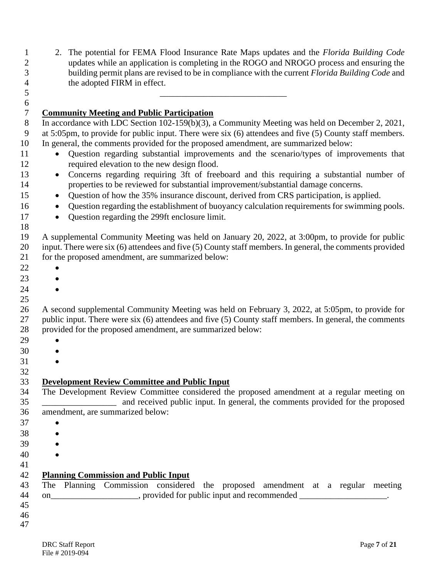| $\mathbf{1}$<br>$\overline{c}$<br>3<br>4 | The potential for FEMA Flood Insurance Rate Maps updates and the Florida Building Code<br>2.<br>updates while an application is completing in the ROGO and NROGO process and ensuring the<br>building permit plans are revised to be in compliance with the current Florida Building Code and<br>the adopted FIRM in effect. |
|------------------------------------------|------------------------------------------------------------------------------------------------------------------------------------------------------------------------------------------------------------------------------------------------------------------------------------------------------------------------------|
| 5                                        |                                                                                                                                                                                                                                                                                                                              |
| $\sqrt{6}$                               |                                                                                                                                                                                                                                                                                                                              |
| $\boldsymbol{7}$                         | <b>Community Meeting and Public Participation</b>                                                                                                                                                                                                                                                                            |
| $8\,$                                    | In accordance with LDC Section 102-159(b)(3), a Community Meeting was held on December 2, 2021,                                                                                                                                                                                                                              |
| 9                                        | at 5:05pm, to provide for public input. There were six (6) attendees and five (5) County staff members.                                                                                                                                                                                                                      |
| 10                                       | In general, the comments provided for the proposed amendment, are summarized below:                                                                                                                                                                                                                                          |
| 11                                       | Question regarding substantial improvements and the scenario/types of improvements that<br>$\bullet$                                                                                                                                                                                                                         |
| 12                                       | required elevation to the new design flood.                                                                                                                                                                                                                                                                                  |
| 13                                       | Concerns regarding requiring 3ft of freeboard and this requiring a substantial number of<br>$\bullet$                                                                                                                                                                                                                        |
| 14                                       | properties to be reviewed for substantial improvement/substantial damage concerns.                                                                                                                                                                                                                                           |
| 15                                       | Question of how the 35% insurance discount, derived from CRS participation, is applied.<br>$\bullet$                                                                                                                                                                                                                         |
| 16                                       | Question regarding the establishment of buoyancy calculation requirements for swimming pools.<br>$\bullet$                                                                                                                                                                                                                   |
| 17                                       | Question regarding the 299ft enclosure limit.<br>$\bullet$                                                                                                                                                                                                                                                                   |
| 18                                       |                                                                                                                                                                                                                                                                                                                              |
| 19                                       | A supplemental Community Meeting was held on January 20, 2022, at 3:00pm, to provide for public                                                                                                                                                                                                                              |
| 20                                       | input. There were six (6) attendees and five (5) County staff members. In general, the comments provided                                                                                                                                                                                                                     |
| 21                                       | for the proposed amendment, are summarized below:                                                                                                                                                                                                                                                                            |
| 22                                       |                                                                                                                                                                                                                                                                                                                              |
| 23                                       |                                                                                                                                                                                                                                                                                                                              |
| 24                                       |                                                                                                                                                                                                                                                                                                                              |
| 25                                       |                                                                                                                                                                                                                                                                                                                              |
| 26                                       | A second supplemental Community Meeting was held on February 3, 2022, at 5:05pm, to provide for                                                                                                                                                                                                                              |
| 27                                       | public input. There were six (6) attendees and five (5) County staff members. In general, the comments                                                                                                                                                                                                                       |
| 28                                       | provided for the proposed amendment, are summarized below:                                                                                                                                                                                                                                                                   |
| 29                                       |                                                                                                                                                                                                                                                                                                                              |
| 30                                       |                                                                                                                                                                                                                                                                                                                              |
| 31                                       |                                                                                                                                                                                                                                                                                                                              |
| 32                                       |                                                                                                                                                                                                                                                                                                                              |
| 33                                       | <b>Development Review Committee and Public Input</b>                                                                                                                                                                                                                                                                         |
| 34                                       | The Development Review Committee considered the proposed amendment at a regular meeting on                                                                                                                                                                                                                                   |
| 35                                       | and received public input. In general, the comments provided for the proposed<br>amendment, are summarized below:                                                                                                                                                                                                            |
| 36                                       |                                                                                                                                                                                                                                                                                                                              |
| 37                                       |                                                                                                                                                                                                                                                                                                                              |
| 38                                       |                                                                                                                                                                                                                                                                                                                              |
| 39                                       |                                                                                                                                                                                                                                                                                                                              |
| 40                                       |                                                                                                                                                                                                                                                                                                                              |
| 41<br>42                                 | <b>Planning Commission and Public Input</b>                                                                                                                                                                                                                                                                                  |
| 43                                       | The Planning Commission considered the proposed amendment at a regular meeting                                                                                                                                                                                                                                               |
| 44                                       | on_______________________, provided for public input and recommended ___________________.                                                                                                                                                                                                                                    |
| 45                                       |                                                                                                                                                                                                                                                                                                                              |
| 46                                       |                                                                                                                                                                                                                                                                                                                              |
| 47                                       |                                                                                                                                                                                                                                                                                                                              |
|                                          |                                                                                                                                                                                                                                                                                                                              |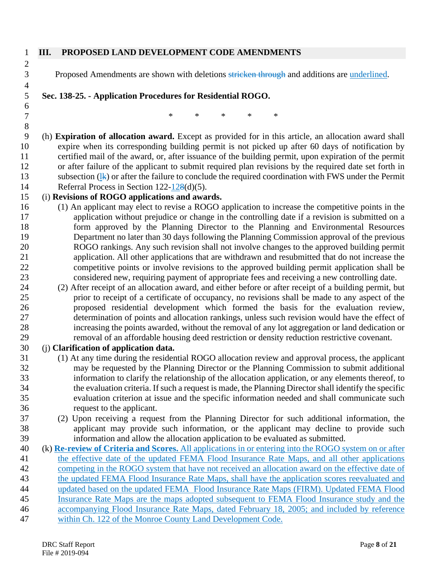#### **III. PROPOSED LAND DEVELOPMENT CODE AMENDMENTS**

3 Proposed Amendments are shown with deletions stricken through and additions are underlined.

**Sec. 138-25. - Application Procedures for Residential ROGO.** 

7 \* \* \* \* \* \* 

 (h) **Expiration of allocation award.** Except as provided for in this article, an allocation award shall expire when its corresponding building permit is not picked up after 60 days of notification by certified mail of the award, or, after issuance of the building permit, upon expiration of the permit or after failure of the applicant to submit required plan revisions by the required date set forth in

13 subsection  $(1)$  or after the failure to conclude the required coordination with FWS under the Permit Referral Process in Section 122-128(d)(5).

### (i) **Revisions of ROGO applications and awards.**

- (1) An applicant may elect to revise a ROGO application to increase the competitive points in the application without prejudice or change in the controlling date if a revision is submitted on a form approved by the Planning Director to the Planning and Environmental Resources Department no later than 30 days following the Planning Commission approval of the previous ROGO rankings. Any such revision shall not involve changes to the approved building permit application. All other applications that are withdrawn and resubmitted that do not increase the 22 competitive points or involve revisions to the approved building permit application shall be<br>23 considered new, requiring payment of appropriate fees and receiving a new controlling date. considered new, requiring payment of appropriate fees and receiving a new controlling date.
- (2) After receipt of an allocation award, and either before or after receipt of a building permit, but prior to receipt of a certificate of occupancy, no revisions shall be made to any aspect of the proposed residential development which formed the basis for the evaluation review, determination of points and allocation rankings, unless such revision would have the effect of increasing the points awarded, without the removal of any lot aggregation or land dedication or removal of an affordable housing deed restriction or density reduction restrictive covenant.

#### (j) **Clarification of application data.**

- (1) At any time during the residential ROGO allocation review and approval process, the applicant may be requested by the Planning Director or the Planning Commission to submit additional information to clarify the relationship of the allocation application, or any elements thereof, to the evaluation criteria. If such a request is made, the Planning Director shall identify the specific evaluation criterion at issue and the specific information needed and shall communicate such request to the applicant.
- (2) Upon receiving a request from the Planning Director for such additional information, the applicant may provide such information, or the applicant may decline to provide such information and allow the allocation application to be evaluated as submitted.
- (k) **Re-review of Criteria and Scores.** All applications in or entering into the ROGO system on or after the effective date of the updated FEMA Flood Insurance Rate Maps, and all other applications competing in the ROGO system that have not received an allocation award on the effective date of the updated FEMA Flood Insurance Rate Maps, shall have the application scores reevaluated and updated based on the updated FEMA Flood Insurance Rate Maps (FIRM). Updated FEMA Flood Insurance Rate Maps are the maps adopted subsequent to FEMA Flood Insurance study and the accompanying Flood Insurance Rate Maps, dated February 18, 2005; and included by reference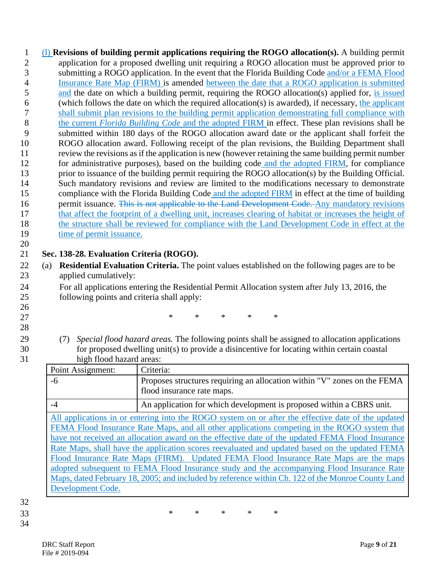(l) **Revisions of building permit applications requiring the ROGO allocation(s).** A building permit application for a proposed dwelling unit requiring a ROGO allocation must be approved prior to submitting a ROGO application. In the event that the Florida Building Code and/or a FEMA Flood Insurance Rate Map (FIRM) is amended between the date that a ROGO application is submitted and the date on which a building permit, requiring the ROGO allocation(s) applied for, is issued (which follows the date on which the required allocation(s) is awarded), if necessary, the applicant shall submit plan revisions to the building permit application demonstrating full compliance with the current *Florida Building Code* and the adopted FIRM in effect. These plan revisions shall be submitted within 180 days of the ROGO allocation award date or the applicant shall forfeit the ROGO allocation award. Following receipt of the plan revisions, the Building Department shall review the revisions as if the application is new (however retaining the same building permit number for administrative purposes), based on the building code and the adopted FIRM, for compliance prior to issuance of the building permit requiring the ROGO allocation(s) by the Building Official. Such mandatory revisions and review are limited to the modifications necessary to demonstrate compliance with the Florida Building Code and the adopted FIRM in effect at the time of building 16 permit issuance. This is not applicable to the Land Development Code. Any mandatory revisions that affect the footprint of a dwelling unit, increases clearing of habitat or increases the height of 18 the structure shall be reviewed for compliance with the Land Development Code in effect at the 19 time of permit issuance.

## **Sec. 138-28. Evaluation Criteria (ROGO).**

- (a) **Residential Evaluation Criteria.** The point values established on the following pages are to be applied cumulatively:
- For all applications entering the Residential Permit Allocation system after July 13, 2016, the following points and criteria shall apply:

27 \* \* \* \* \* \*

- 
- (7) *Special flood hazard areas.* The following points shall be assigned to allocation applications for proposed dwelling unit(s) to provide a disincentive for locating within certain coastal

| 31 | high flood hazard areas:                                                                                                                                                                                                                                                                                                                                                                                                                                                                 |                                                                                                        |  |  |
|----|------------------------------------------------------------------------------------------------------------------------------------------------------------------------------------------------------------------------------------------------------------------------------------------------------------------------------------------------------------------------------------------------------------------------------------------------------------------------------------------|--------------------------------------------------------------------------------------------------------|--|--|
|    | Point Assignment:                                                                                                                                                                                                                                                                                                                                                                                                                                                                        | Criteria:                                                                                              |  |  |
|    | -6                                                                                                                                                                                                                                                                                                                                                                                                                                                                                       | Proposes structures requiring an allocation within "V" zones on the FEMA<br>flood insurance rate maps. |  |  |
|    | $-4$                                                                                                                                                                                                                                                                                                                                                                                                                                                                                     | An application for which development is proposed within a CBRS unit.                                   |  |  |
|    | All applications in or entering into the ROGO system on or after the effective date of the updated                                                                                                                                                                                                                                                                                                                                                                                       |                                                                                                        |  |  |
|    | FEMA Flood Insurance Rate Maps, and all other applications competing in the ROGO system that<br>have not received an allocation award on the effective date of the updated FEMA Flood Insurance<br>Rate Maps, shall have the application scores reevaluated and updated based on the updated FEMA<br>Flood Insurance Rate Maps (FIRM). Updated FEMA Flood Insurance Rate Maps are the maps<br>adopted subsequent to FEMA Flood Insurance study and the accompanying Flood Insurance Rate |                                                                                                        |  |  |
|    |                                                                                                                                                                                                                                                                                                                                                                                                                                                                                          |                                                                                                        |  |  |
|    |                                                                                                                                                                                                                                                                                                                                                                                                                                                                                          |                                                                                                        |  |  |
|    |                                                                                                                                                                                                                                                                                                                                                                                                                                                                                          |                                                                                                        |  |  |
|    |                                                                                                                                                                                                                                                                                                                                                                                                                                                                                          | Maps, dated February 18, 2005; and included by reference within Ch. 122 of the Monroe County Land      |  |  |
|    | Development Code.                                                                                                                                                                                                                                                                                                                                                                                                                                                                        |                                                                                                        |  |  |

# 

\* \* \* \* \*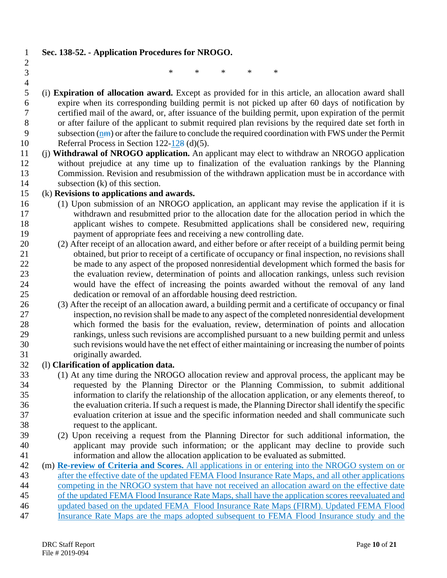#### **Sec. 138-52. - Application Procedures for NROGO.**

- 
- $\frac{2}{3}$

\* \* \* \* \*

- $\frac{4}{5}$  (i) **Expiration of allocation award.** Except as provided for in this article, an allocation award shall 6 expire when its corresponding building permit is not picked up after 60 days of notification by certified mail of the award, or, after issuance of the building permit, upon expiration of the permit certified mail of the award, or, after issuance of the building permit, upon expiration of the permit or after failure of the applicant to submit required plan revisions by the required date set forth in 9 subsection (nm) or after the failure to conclude the required coordination with FWS under the Permit Referral Process in Section 122-128 (d)(5).
- (j) **Withdrawal of NROGO application.** An applicant may elect to withdraw an NROGO application without prejudice at any time up to finalization of the evaluation rankings by the Planning Commission. Revision and resubmission of the withdrawn application must be in accordance with subsection (k) of this section.

#### (k) **Revisions to applications and awards.**

- (1) Upon submission of an NROGO application, an applicant may revise the application if it is withdrawn and resubmitted prior to the allocation date for the allocation period in which the applicant wishes to compete. Resubmitted applications shall be considered new, requiring payment of appropriate fees and receiving a new controlling date.
- (2) After receipt of an allocation award, and either before or after receipt of a building permit being obtained, but prior to receipt of a certificate of occupancy or final inspection, no revisions shall be made to any aspect of the proposed nonresidential development which formed the basis for the evaluation review, determination of points and allocation rankings, unless such revision would have the effect of increasing the points awarded without the removal of any land dedication or removal of an affordable housing deed restriction.
- (3) After the receipt of an allocation award, a building permit and a certificate of occupancy or final inspection, no revision shall be made to any aspect of the completed nonresidential development which formed the basis for the evaluation, review, determination of points and allocation rankings, unless such revisions are accomplished pursuant to a new building permit and unless such revisions would have the net effect of either maintaining or increasing the number of points originally awarded.

#### (l) **Clarification of application data.**

- (1) At any time during the NROGO allocation review and approval process, the applicant may be requested by the Planning Director or the Planning Commission, to submit additional information to clarify the relationship of the allocation application, or any elements thereof, to the evaluation criteria. If such a request is made, the Planning Director shall identify the specific evaluation criterion at issue and the specific information needed and shall communicate such request to the applicant.
- (2) Upon receiving a request from the Planning Director for such additional information, the applicant may provide such information; or the applicant may decline to provide such information and allow the allocation application to be evaluated as submitted.
- (m) **Re-review of Criteria and Scores.** All applications in or entering into the NROGO system on or after the effective date of the updated FEMA Flood Insurance Rate Maps, and all other applications competing in the NROGO system that have not received an allocation award on the effective date of the updated FEMA Flood Insurance Rate Maps, shall have the application scores reevaluated and updated based on the updated FEMA Flood Insurance Rate Maps (FIRM). Updated FEMA Flood Insurance Rate Maps are the maps adopted subsequent to FEMA Flood Insurance study and the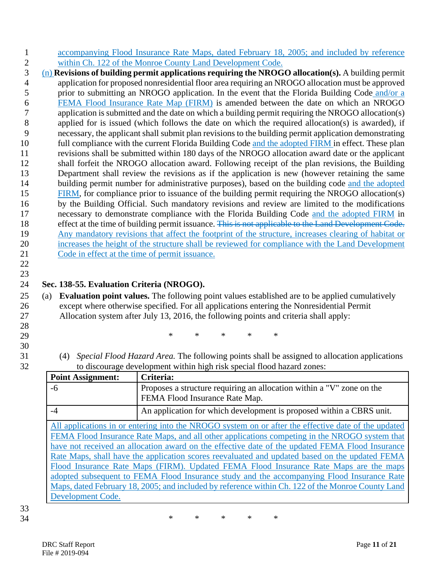- 1 accompanying Flood Insurance Rate Maps, dated February 18, 2005; and included by reference
- 2 within Ch. 122 of the Monroe County Land Development Code.<br>3 (n) **Revisions of building permit applications requiring the NROG** 3 (n) **Revisions of building permit applications requiring the NROGO allocation(s).** A building permit 4 application for proposed nonresidential floor area requiring an NROGO allocation must be approved 5 prior to submitting an NROGO application. In the event that the Florida Building Code and/or a <u>FEMA Flood Insurance Rate Map (FIRM)</u> is amended between the date on which an NROGO<br>application is submitted and the date on which a building permit requiring the NROGO allocation(s) application is submitted and the date on which a building permit requiring the NROGO allocation(s) 8 applied for is issued (which follows the date on which the required allocation(s) is awarded), if 9 necessary, the applicant shall submit plan revisions to the building permit application demonstrating 10 full compliance with the current Florida Building Code and the adopted FIRM in effect. These plan 11 revisions shall be submitted within 180 days of the NROGO allocation award date or the applicant 12 shall forfeit the NROGO allocation award. Following receipt of the plan revisions, the Building 13 Department shall review the revisions as if the application is new (however retaining the same 14 building permit number for administrative purposes), based on the building code and the adopted 15 FIRM, for compliance prior to issuance of the building permit requiring the NROGO allocation(s) 16 by the Building Official. Such mandatory revisions and review are limited to the modifications 17 necessary to demonstrate compliance with the Florida Building Code and the adopted FIRM in 18 effect at the time of building permit issuance. This is not applicable to the Land Development Code. 19 Any mandatory revisions that affect the footprint of the structure, increases clearing of habitat or 20 increases the height of the structure shall be reviewed for compliance with the Land Development 21 Code in effect at the time of permit issuance.
- 22 23

## 24 **Sec. 138-55. Evaluation Criteria (NROGO).**

- 25 (a) **Evaluation point values.** The following point values established are to be applied cumulatively 26 except where otherwise specified. For all applications entering the Nonresidential Permit 27 Allocation system after July 13, 2016, the following points and criteria shall apply:
- 28
- 
- 30
- 29 \* \* \* \* \*
- 31 (4) *Special Flood Hazard Area.* The following points shall be assigned to allocation applications to discourage development within high risk special flood hazard zones:

| <b>Point Assignment:</b>                                                                            | Criteria:                                                                                               |  |  |  |
|-----------------------------------------------------------------------------------------------------|---------------------------------------------------------------------------------------------------------|--|--|--|
| -6                                                                                                  | Proposes a structure requiring an allocation within a "V" zone on the<br>FEMA Flood Insurance Rate Map. |  |  |  |
|                                                                                                     |                                                                                                         |  |  |  |
| -4                                                                                                  | An application for which development is proposed within a CBRS unit.                                    |  |  |  |
| All applications in or entering into the NROGO system on or after the effective date of the updated |                                                                                                         |  |  |  |
| FEMA Flood Insurance Rate Maps, and all other applications competing in the NROGO system that       |                                                                                                         |  |  |  |
| have not received an allocation award on the effective date of the updated FEMA Flood Insurance     |                                                                                                         |  |  |  |
| Rate Maps, shall have the application scores reevaluated and updated based on the updated FEMA      |                                                                                                         |  |  |  |
| Flood Insurance Rate Maps (FIRM). Updated FEMA Flood Insurance Rate Maps are the maps               |                                                                                                         |  |  |  |
| adopted subsequent to FEMA Flood Insurance study and the accompanying Flood Insurance Rate          |                                                                                                         |  |  |  |
| Maps, dated February 18, 2005; and included by reference within Ch. 122 of the Monroe County Land   |                                                                                                         |  |  |  |
| Development Code.                                                                                   |                                                                                                         |  |  |  |

## 33

34 \* \* \* \* \*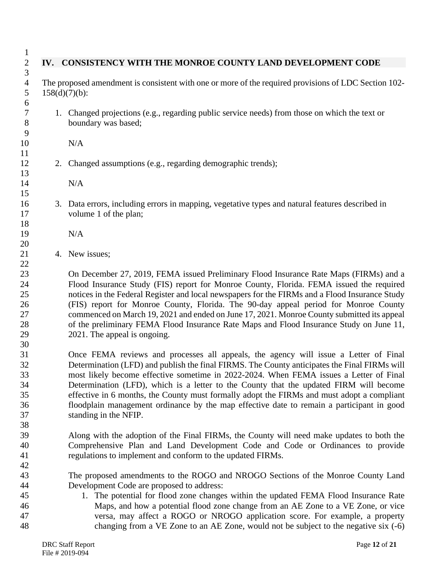|                  | IV. CONSISTENCY WITH THE MONROE COUNTY LAND DEVELOPMENT CODE                                                                                                                                                                                                                                                                                                                                                                                                                                                                                                                                       |
|------------------|----------------------------------------------------------------------------------------------------------------------------------------------------------------------------------------------------------------------------------------------------------------------------------------------------------------------------------------------------------------------------------------------------------------------------------------------------------------------------------------------------------------------------------------------------------------------------------------------------|
| $158(d)(7)(b)$ : | The proposed amendment is consistent with one or more of the required provisions of LDC Section 102-                                                                                                                                                                                                                                                                                                                                                                                                                                                                                               |
|                  | 1. Changed projections (e.g., regarding public service needs) from those on which the text or<br>boundary was based;                                                                                                                                                                                                                                                                                                                                                                                                                                                                               |
|                  | N/A                                                                                                                                                                                                                                                                                                                                                                                                                                                                                                                                                                                                |
|                  | 2. Changed assumptions (e.g., regarding demographic trends);                                                                                                                                                                                                                                                                                                                                                                                                                                                                                                                                       |
|                  | N/A                                                                                                                                                                                                                                                                                                                                                                                                                                                                                                                                                                                                |
|                  | 3. Data errors, including errors in mapping, vegetative types and natural features described in<br>volume 1 of the plan;                                                                                                                                                                                                                                                                                                                                                                                                                                                                           |
|                  | N/A                                                                                                                                                                                                                                                                                                                                                                                                                                                                                                                                                                                                |
|                  | 4. New issues;                                                                                                                                                                                                                                                                                                                                                                                                                                                                                                                                                                                     |
|                  | On December 27, 2019, FEMA issued Preliminary Flood Insurance Rate Maps (FIRMs) and a<br>Flood Insurance Study (FIS) report for Monroe County, Florida. FEMA issued the required<br>notices in the Federal Register and local newspapers for the FIRMs and a Flood Insurance Study<br>(FIS) report for Monroe County, Florida. The 90-day appeal period for Monroe County<br>commenced on March 19, 2021 and ended on June 17, 2021. Monroe County submitted its appeal<br>of the preliminary FEMA Flood Insurance Rate Maps and Flood Insurance Study on June 11,<br>2021. The appeal is ongoing. |
|                  | Once FEMA reviews and processes all appeals, the agency will issue a Letter of Final<br>Determination (LFD) and publish the final FIRMS. The County anticipates the Final FIRMs will<br>most likely become effective sometime in 2022-2024. When FEMA issues a Letter of Final<br>Determination (LFD), which is a letter to the County that the updated FIRM will become<br>effective in 6 months, the County must formally adopt the FIRMs and must adopt a compliant<br>floodplain management ordinance by the map effective date to remain a participant in good<br>standing in the NFIP.       |
|                  | Along with the adoption of the Final FIRMs, the County will need make updates to both the<br>Comprehensive Plan and Land Development Code and Code or Ordinances to provide<br>regulations to implement and conform to the updated FIRMs.                                                                                                                                                                                                                                                                                                                                                          |
|                  | The proposed amendments to the ROGO and NROGO Sections of the Monroe County Land<br>Development Code are proposed to address:<br>1. The potential for flood zone changes within the updated FEMA Flood Insurance Rate<br>Maps, and how a potential flood zone change from an AE Zone to a VE Zone, or vice<br>versa, may affect a ROGO or NROGO application score. For example, a property<br>changing from a VE Zone to an AE Zone, would not be subject to the negative six (-6)                                                                                                                 |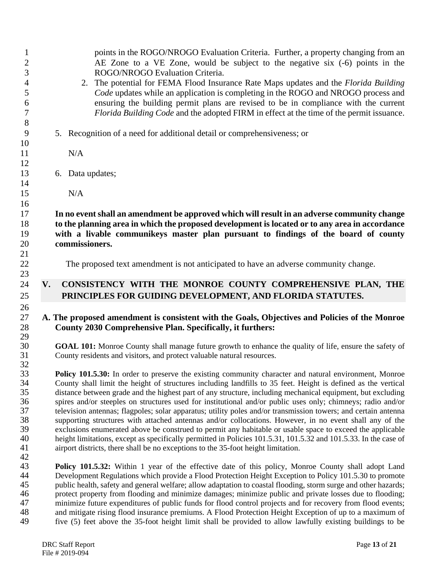| $\mathbf{1}$<br>$\overline{\mathbf{c}}$<br>3<br>$\overline{4}$<br>5<br>6<br>$\tau$ |                                                                                                          | points in the ROGO/NROGO Evaluation Criteria. Further, a property changing from an<br>AE Zone to a VE Zone, would be subject to the negative six (-6) points in the<br>ROGO/NROGO Evaluation Criteria.<br>2. The potential for FEMA Flood Insurance Rate Maps updates and the <i>Florida Building</i><br>Code updates while an application is completing in the ROGO and NROGO process and<br>ensuring the building permit plans are revised to be in compliance with the current<br>Florida Building Code and the adopted FIRM in effect at the time of the permit issuance.                                                                                                                                                                                                                                                                                                                                                                                                                            |
|------------------------------------------------------------------------------------|----------------------------------------------------------------------------------------------------------|----------------------------------------------------------------------------------------------------------------------------------------------------------------------------------------------------------------------------------------------------------------------------------------------------------------------------------------------------------------------------------------------------------------------------------------------------------------------------------------------------------------------------------------------------------------------------------------------------------------------------------------------------------------------------------------------------------------------------------------------------------------------------------------------------------------------------------------------------------------------------------------------------------------------------------------------------------------------------------------------------------|
| 8<br>9                                                                             |                                                                                                          | 5. Recognition of a need for additional detail or comprehensiveness; or                                                                                                                                                                                                                                                                                                                                                                                                                                                                                                                                                                                                                                                                                                                                                                                                                                                                                                                                  |
| 10                                                                                 |                                                                                                          |                                                                                                                                                                                                                                                                                                                                                                                                                                                                                                                                                                                                                                                                                                                                                                                                                                                                                                                                                                                                          |
| 11                                                                                 |                                                                                                          | N/A                                                                                                                                                                                                                                                                                                                                                                                                                                                                                                                                                                                                                                                                                                                                                                                                                                                                                                                                                                                                      |
| 12                                                                                 |                                                                                                          |                                                                                                                                                                                                                                                                                                                                                                                                                                                                                                                                                                                                                                                                                                                                                                                                                                                                                                                                                                                                          |
| 13                                                                                 |                                                                                                          | 6. Data updates;                                                                                                                                                                                                                                                                                                                                                                                                                                                                                                                                                                                                                                                                                                                                                                                                                                                                                                                                                                                         |
| 14<br>15                                                                           |                                                                                                          | N/A                                                                                                                                                                                                                                                                                                                                                                                                                                                                                                                                                                                                                                                                                                                                                                                                                                                                                                                                                                                                      |
| 16                                                                                 |                                                                                                          |                                                                                                                                                                                                                                                                                                                                                                                                                                                                                                                                                                                                                                                                                                                                                                                                                                                                                                                                                                                                          |
| 17                                                                                 |                                                                                                          | In no event shall an amendment be approved which will result in an adverse community change                                                                                                                                                                                                                                                                                                                                                                                                                                                                                                                                                                                                                                                                                                                                                                                                                                                                                                              |
| 18                                                                                 |                                                                                                          | to the planning area in which the proposed development is located or to any area in accordance                                                                                                                                                                                                                                                                                                                                                                                                                                                                                                                                                                                                                                                                                                                                                                                                                                                                                                           |
| 19                                                                                 |                                                                                                          | with a livable communikeys master plan pursuant to findings of the board of county                                                                                                                                                                                                                                                                                                                                                                                                                                                                                                                                                                                                                                                                                                                                                                                                                                                                                                                       |
| 20<br>21                                                                           |                                                                                                          | commissioners.                                                                                                                                                                                                                                                                                                                                                                                                                                                                                                                                                                                                                                                                                                                                                                                                                                                                                                                                                                                           |
| 22<br>23                                                                           |                                                                                                          | The proposed text amendment is not anticipated to have an adverse community change.                                                                                                                                                                                                                                                                                                                                                                                                                                                                                                                                                                                                                                                                                                                                                                                                                                                                                                                      |
| 24<br>25                                                                           | V.                                                                                                       | CONSISTENCY WITH THE MONROE COUNTY COMPREHENSIVE PLAN, THE<br>PRINCIPLES FOR GUIDING DEVELOPMENT, AND FLORIDA STATUTES.                                                                                                                                                                                                                                                                                                                                                                                                                                                                                                                                                                                                                                                                                                                                                                                                                                                                                  |
| 26<br>27<br>28<br>29                                                               |                                                                                                          | A. The proposed amendment is consistent with the Goals, Objectives and Policies of the Monroe<br>County 2030 Comprehensive Plan. Specifically, it furthers:                                                                                                                                                                                                                                                                                                                                                                                                                                                                                                                                                                                                                                                                                                                                                                                                                                              |
| 30<br>31                                                                           |                                                                                                          | GOAL 101: Monroe County shall manage future growth to enhance the quality of life, ensure the safety of<br>County residents and visitors, and protect valuable natural resources.                                                                                                                                                                                                                                                                                                                                                                                                                                                                                                                                                                                                                                                                                                                                                                                                                        |
| 32<br>33<br>34<br>35<br>36<br>37<br>38<br>39<br>40<br>41<br>42                     |                                                                                                          | Policy 101.5.30: In order to preserve the existing community character and natural environment, Monroe<br>County shall limit the height of structures including landfills to 35 feet. Height is defined as the vertical<br>distance between grade and the highest part of any structure, including mechanical equipment, but excluding<br>spires and/or steeples on structures used for institutional and/or public uses only; chimneys; radio and/or<br>television antennas; flagpoles; solar apparatus; utility poles and/or transmission towers; and certain antenna<br>supporting structures with attached antennas and/or collocations. However, in no event shall any of the<br>exclusions enumerated above be construed to permit any habitable or usable space to exceed the applicable<br>height limitations, except as specifically permitted in Policies 101.5.31, 101.5.32 and 101.5.33. In the case of<br>airport districts, there shall be no exceptions to the 35-foot height limitation. |
| 43<br>44<br>45<br>46                                                               | protect property from flooding and minimize damages; minimize public and private losses due to flooding; | Policy 101.5.32: Within 1 year of the effective date of this policy, Monroe County shall adopt Land<br>Development Regulations which provide a Flood Protection Height Exception to Policy 101.5.30 to promote<br>public health, safety and general welfare; allow adaptation to coastal flooding, storm surge and other hazards;                                                                                                                                                                                                                                                                                                                                                                                                                                                                                                                                                                                                                                                                        |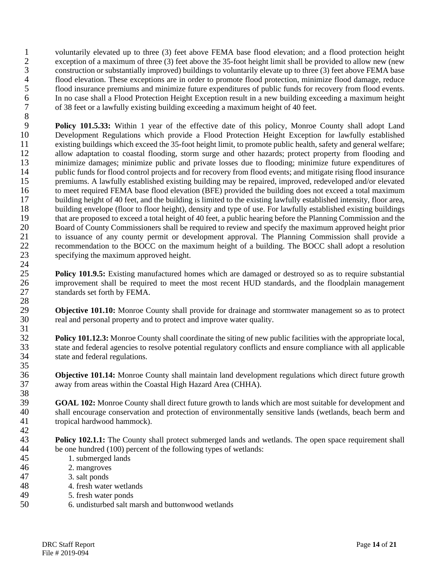1 voluntarily elevated up to three (3) feet above FEMA base flood elevation; and a flood protection height exception of a maximum of three (3) feet above the 35-foot height limit shall be provided to allow new (new exception of a maximum of three (3) feet above the 35-foot height limit shall be provided to allow new (new 3 construction or substantially improved) buildings to voluntarily elevate up to three (3) feet above FEMA base 4 flood elevation. These exceptions are in order to promote flood protection, minimize flood damage, reduce<br>5 flood insurance premiums and minimize future expenditures of public funds for recovery from flood events. 5 flood insurance premiums and minimize future expenditures of public funds for recovery from flood events.<br>6 In no case shall a Flood Protection Height Exception result in a new building exceeding a maximum height 6 In no case shall a Flood Protection Height Exception result in a new building exceeding a maximum height 7 of 38 feet or a lawfully existing building exceeding a maximum height of 40 feet.

8 **Policy 101.5.33:** Within 1 year of the effective date of this policy, Monroe County shall adopt Land<br>10 Development Regulations which provide a Flood Protection Height Exception for lawfully established 10 Development Regulations which provide a Flood Protection Height Exception for lawfully established existing buildings which exceed the 35-foot height limit, to promote public health, safety and general welfare; 11 existing buildings which exceed the 35-foot height limit, to promote public health, safety and general welfare;<br>12 allow adaptation to coastal flooding, storm surge and other hazards; protect property from flooding and 12 allow adaptation to coastal flooding, storm surge and other hazards; protect property from flooding and<br>13 minimize damages: minimize public and private losses due to flooding: minimize future expenditures of minimize damages; minimize public and private losses due to flooding; minimize future expenditures of 14 public funds for flood control projects and for recovery from flood events; and mitigate rising flood insurance<br>15 premiums. A lawfully established existing building may be repaired, improved, redeveloped and/or elevate premiums. A lawfully established existing building may be repaired, improved, redeveloped and/or elevated 16 to meet required FEMA base flood elevation (BFE) provided the building does not exceed a total maximum 17 building height of 40 feet, and the building is limited to the existing lawfully established intensity, floor area,<br>18 building envelope (floor to floor height), density and type of use. For lawfully established existin building envelope (floor to floor height), density and type of use. For lawfully established existing buildings 19 that are proposed to exceed a total height of 40 feet, a public hearing before the Planning Commission and the<br>20 Board of County Commissioners shall be required to review and specify the maximum approved height prior 20 Board of County Commissioners shall be required to review and specify the maximum approved height prior<br>21 to issuance of any county permit or development approval. The Planning Commission shall provide a 21 to issuance of any county permit or development approval. The Planning Commission shall provide a<br>22 recommendation to the BOCC on the maximum height of a building. The BOCC shall adopt a resolution 22 recommendation to the BOCC on the maximum height of a building. The BOCC shall adopt a resolution specifying the maximum approved height. specifying the maximum approved height.  $\frac{24}{25}$ 

**Policy 101.9.5:** Existing manufactured homes which are damaged or destroyed so as to require substantial 26 improvement shall be required to meet the most recent HUD standards, and the floodplain management 27 standards set forth by FEMA.

29 **Objective 101.10:** Monroe County shall provide for drainage and stormwater management so as to protect real and personal property and to protect and improve water quality. real and personal property and to protect and improve water quality.

 $\frac{31}{32}$ **Policy 101.12.3:** Monroe County shall coordinate the siting of new public facilities with the appropriate local, 33 state and federal agencies to resolve potential regulatory conflicts and ensure compliance with all applicable 34 state and federal regulations.

 $\frac{35}{36}$ **Objective 101.14:** Monroe County shall maintain land development regulations which direct future growth 37 away from areas within the Coastal High Hazard Area (CHHA).

38<br>39 **GOAL 102:** Monroe County shall direct future growth to lands which are most suitable for development and shall encourage conservation and protection of environmentally sensitive lands (wetlands, beach berm and 40 shall encourage conservation and protection of environmentally sensitive lands (wetlands, beach berm and tropical hardwood hammock). tropical hardwood hammock).

 $\frac{42}{43}$ **Policy 102.1.1:** The County shall protect submerged lands and wetlands. The open space requirement shall be one hundred (100) percent of the following types of wetlands: 44 be one hundred (100) percent of the following types of wetlands:<br>45 1. submerged lands

- 1. submerged lands
- 46 2. mangroves
- 47 3. salt ponds

- 48 4. fresh water wetlands
- 49 5. fresh water ponds<br>50 6. undisturbed salt m
- 50 6. undisturbed salt marsh and buttonwood wetlands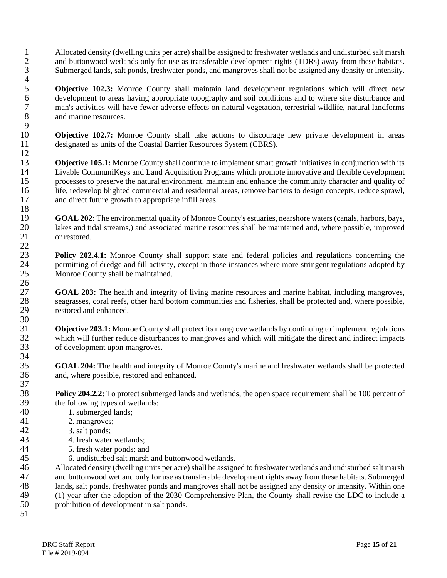- 1 Allocated density (dwelling units per acre) shall be assigned to freshwater wetlands and undisturbed salt marsh<br>2 and buttonwood wetlands only for use as transferable development rights (TDRs) away from these habitats. and buttonwood wetlands only for use as transferable development rights (TDRs) away from these habitats. 3 Submerged lands, salt ponds, freshwater ponds, and mangroves shall not be assigned any density or intensity.
- **5 Objective 102.3:** Monroe County shall maintain land development regulations which will direct new development to areas having appropriate topography and soil conditions and to where site disturbance and 6 development to areas having appropriate topography and soil conditions and to where site disturbance and<br>
7 man's activities will have fewer adverse effects on natural vegetation, terrestrial wildlife, natural landforms 7 man's activities will have fewer adverse effects on natural vegetation, terrestrial wildlife, natural landforms and marine resources. and marine resources.
- $\frac{9}{10}$ 10 **Objective 102.7:** Monroe County shall take actions to discourage new private development in areas designated as units of the Coastal Barrier Resources System (CBRS). designated as units of the Coastal Barrier Resources System (CBRS).

 $\frac{12}{13}$ **Objective 105.1:** Monroe County shall continue to implement smart growth initiatives in conjunction with its Livable CommuniKevs and Land Acquisition Programs which promote innovative and flexible development 14 Livable CommuniKeys and Land Acquisition Programs which promote innovative and flexible development<br>15 crossses to preserve the natural environment, maintain and enhance the community character and quality of processes to preserve the natural environment, maintain and enhance the community character and quality of 16 life, redevelop blighted commercial and residential areas, remove barriers to design concepts, reduce sprawl, 17 and direct future growth to appropriate infill areas.  $\frac{18}{19}$ 

19 **GOAL 202:** The environmental quality of Monroe County's estuaries, nearshore waters (canals, harbors, bays, lakes and tidal streams.) and associated marine resources shall be maintained and. where possible, improved 20 lakes and tidal streams,) and associated marine resources shall be maintained and, where possible, improved or restored. or restored.

Policy 202.4.1: Monroe County shall support state and federal policies and regulations concerning the 24 permitting of dredge and fill activity, except in those instances where more stringent regulations adopted by<br>25 Monroe County shall be maintained. Monroe County shall be maintained.

27 **GOAL 203:** The health and integrity of living marine resources and marine habitat, including mangroves, seagrasses, coral reefs, other hard bottom communities and fisheries, shall be protected and, where possible. 28 seagrasses, coral reefs, other hard bottom communities and fisheries, shall be protected and, where possible, restored and enhanced. restored and enhanced.

**31 Objective 203.1:** Monroe County shall protect its mangrove wetlands by continuing to implement regulations which will further reduce disturbances to mangroves and which will mitigate the direct and indirect impacts 32 which will further reduce disturbances to mangroves and which will mitigate the direct and indirect impacts of development upon mangroves. of development upon mangroves.

**GOAL 204:** The health and integrity of Monroe County's marine and freshwater wetlands shall be protected and where possible, restored and enhanced. and, where possible, restored and enhanced.

**Policy 204.2.2:** To protect submerged lands and wetlands, the open space requirement shall be 100 percent of the following types of wetlands: the following types of wetlands:

- 
- 40 1. submerged lands;<br>41 2. mangroves; 41 2. mangroves;<br>42 3. salt ponds;

 $\frac{4}{5}$ 

 $rac{22}{23}$ 

 $\frac{26}{27}$ 

30

34<br>35

 $\frac{37}{38}$ 

- 42 3. salt ponds;<br>43 4. fresh water
- 43 4. fresh water wetlands;<br>44 5. fresh water ponds: and
- 44 5. fresh water ponds; and<br>45 6. undisturbed salt marsh
	- 45 6. undisturbed salt marsh and buttonwood wetlands.

46 Allocated density (dwelling units per acre) shall be assigned to freshwater wetlands and undisturbed salt marsh 47 and buttonwood wetland only for use as transferable development rights away from these habitats. Submerged 48 lands, salt ponds, freshwater ponds and mangroves shall not be assigned any density or intensity. Within one 49 (1) year after the adoption of the 2030 Comprehensive Plan, the County shall revise the LDC to include a prohibition of development in salt ponds. prohibition of development in salt ponds. 51

**DRC Staff Report** Page 15 of 21 File # 2019-094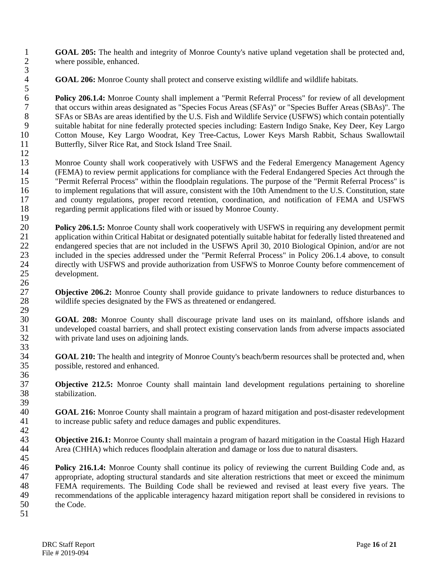1 **GOAL 205:** The health and integrity of Monroe County's native upland vegetation shall be protected and, where possible, enhanced. where possible, enhanced.

4 **GOAL 206:** Monroe County shall protect and conserve existing wildlife and wildlife habitats.

 $\frac{5}{6}$ **6 Policy 206.1.4:** Monroe County shall implement a "Permit Referral Process" for review of all development that occurs within areas designated as "Species Focus Areas (SFAs)" or "Species Buffer Areas (SBAs)". The 7 that occurs within areas designated as "Species Focus Areas (SFAs)" or "Species Buffer Areas (SBAs)". The SFAs or SBAs are areas identified by the U.S. Fish and Wildlife Service (USFWS) which contain potentially 8 SFAs or SBAs are areas identified by the U.S. Fish and Wildlife Service (USFWS) which contain potentially<br>9 suitable habitat for nine federally protected species including: Eastern Indigo Snake. Key Deer, Key Largo 9 suitable habitat for nine federally protected species including: Eastern Indigo Snake, Key Deer, Key Largo 10 Cotton Mouse, Key Largo Woodrat, Key Tree-Cactus, Lower Keys Marsh Rabbit, Schaus Swallowtail<br>11 Butterfly, Silver Rice Rat, and Stock Island Tree Snail. Butterfly, Silver Rice Rat, and Stock Island Tree Snail.

 $\frac{12}{13}$ 13 Monroe County shall work cooperatively with USFWS and the Federal Emergency Management Agency<br>14 (FEMA) to review permit applications for compliance with the Federal Endangered Species Act through the 14 (FEMA) to review permit applications for compliance with the Federal Endangered Species Act through the<br>15 "Permit Referral Process" within the floodplain regulations. The purpose of the "Permit Referral Process" is "Permit Referral Process" within the floodplain regulations. The purpose of the "Permit Referral Process" is 16 to implement regulations that will assure, consistent with the 10th Amendment to the U.S. Constitution, state 17 and county regulations, proper record retention, coordination, and notification of FEMA and USFWS regarding permit applications filed with or issued by Monroe County. 18 regarding permit applications filed with or issued by Monroe County.

 $\frac{19}{20}$ 20 **Policy 206.1.5:** Monroe County shall work cooperatively with USFWS in requiring any development permit application within Critical Habitat or designated potentially suitable habitat for federally listed threatened and 21 application within Critical Habitat or designated potentially suitable habitat for federally listed threatened and<br>22 endangered species that are not included in the USFWS April 30, 2010 Biological Opinion, and/or are n 22 endangered species that are not included in the USFWS April 30, 2010 Biological Opinion, and/or are not included in the species addressed under the "Permit Referral Process" in Policy 206.1.4 above, to consult included in the species addressed under the "Permit Referral Process" in Policy 206.1.4 above, to consult 24 directly with USFWS and provide authorization from USFWS to Monroe County before commencement of development. development.

 $\frac{26}{27}$ 27 **Objective 206.2:** Monroe County shall provide guidance to private landowners to reduce disturbances to wildlife species designated by the FWS as threatened or endangered. wildlife species designated by the FWS as threatened or endangered. 29<br>30

30 **GOAL 208:** Monroe County shall discourage private land uses on its mainland, offshore islands and 31 undeveloped coastal barriers, and shall protect existing conservation lands from adverse impacts associated with private land uses on adioining lands. with private land uses on adjoining lands.

34 **GOAL 210:** The health and integrity of Monroe County's beach/berm resources shall be protected and, when possible, restored and enhanced. possible, restored and enhanced.

37 **Objective 212.5:** Monroe County shall maintain land development regulations pertaining to shoreline stabilization.

39 40 **GOAL 216:** Monroe County shall maintain a program of hazard mitigation and post-disaster redevelopment to increase public safety and reduce damages and public expenditures. to increase public safety and reduce damages and public expenditures.

 $\frac{42}{43}$ **Objective 216.1:** Monroe County shall maintain a program of hazard mitigation in the Coastal High Hazard Area (CHHA) which reduces floodplain alteration and damage or loss due to natural disasters. Area (CHHA) which reduces floodplain alteration and damage or loss due to natural disasters. 45

46 **Policy 216.1.4:** Monroe County shall continue its policy of reviewing the current Building Code and, as 47 appropriate, adopting structural standards and site alteration restrictions that meet or exceed the minimum 48 FEMA requirements. The Building Code shall be reviewed and revised at least every five years. The recommendations of the applicable interagency hazard mitigation report shall be considered in revisions to 49 recommendations of the applicable interagency hazard mitigation report shall be considered in revisions to the Code. the Code. 51

3

33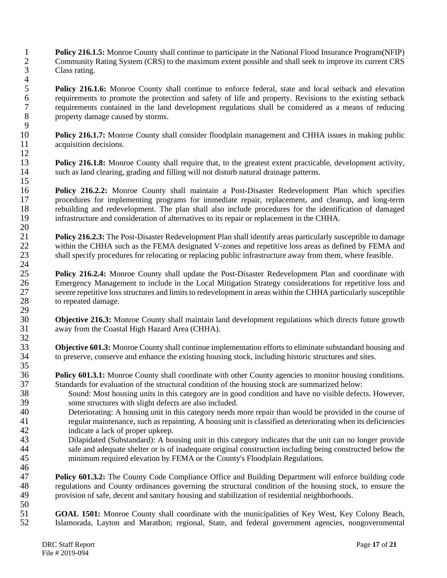**Policy 216.1.5:** Monroe County shall continue to participate in the National Flood Insurance Program(NFIP)<br>2 Community Rating System (CRS) to the maximum extent possible and shall seek to improve its current CRS Community Rating System (CRS) to the maximum extent possible and shall seek to improve its current CRS Class rating.  $\frac{4}{5}$ 

**Folicy 216.1.6:** Monroe County shall continue to enforce federal, state and local setback and elevation requirements to promote the protection and safety of life and property. Revisions to the existing setback 6 requirements to promote the protection and safety of life and property. Revisions to the existing setback<br>7 requirements contained in the land development regulations shall be considered as a means of reducing 7 requirements contained in the land development regulations shall be considered as a means of reducing property damage caused by storms.

 $\frac{9}{10}$ 10 **Policy 216.1.7:** Monroe County shall consider floodplain management and CHHA issues in making public acquisition decisions. acquisition decisions.  $\frac{12}{13}$ 

Policy 216.1.8: Monroe County shall require that, to the greatest extent practicable, development activity, 14 such as land clearing, grading and filling will not disturb natural drainage patterns.

16 **Policy 216.2.2:** Monroe County shall maintain a Post-Disaster Redevelopment Plan which specifies 17 procedures for implementing programs for immediate repair, replacement, and cleanup, and long-term<br>18 rebuilding and redevelopment. The plan shall also include procedures for the identification of damaged rebuilding and redevelopment. The plan shall also include procedures for the identification of damaged 19 infrastructure and consideration of alternatives to its repair or replacement in the CHHA.

 $\frac{20}{21}$ **Policy 216.2.3:** The Post-Disaster Redevelopment Plan shall identify areas particularly susceptible to damage within the CHHA such as the FEMA designated V-zones and repetitive loss areas as defined by FEMA and 22 within the CHHA such as the FEMA designated V-zones and repetitive loss areas as defined by FEMA and shall specify procedures for relocating or replacing public infrastructure away from them, where feasible. shall specify procedures for relocating or replacing public infrastructure away from them, where feasible.

 $\frac{24}{25}$ 25 **Policy 216.2.4:** Monroe County shall update the Post-Disaster Redevelopment Plan and coordinate with 26 Emergency Management to include in the Local Mitigation Strategy considerations for repetitive loss and 27 severe repetitive loss structures and limits to redevelopment in areas within the CHHA particularly susceptible<br>28 to repeated damage. to repeated damage. 29<br>30

**Objective 216.3:** Monroe County shall maintain land development regulations which directs future growth 31 away from the Coastal High Hazard Area (CHHA).

**Objective 601.3:** Monroe County shall continue implementation efforts to eliminate substandard housing and 34 to preserve, conserve and enhance the existing housing stock, including historic structures and sites.

**Policy 601.3.1:** Monroe County shall coordinate with other County agencies to monitor housing conditions. 37 Standards for evaluation of the structural condition of the housing stock are summarized below:

- 38 Sound: Most housing units in this category are in good condition and have no visible defects. However,<br>39 some structures with slight defects are also included. some structures with slight defects are also included.
- 40 Deteriorating: A housing unit in this category needs more repair than would be provided in the course of regular maintenance, such as repainting. A housing unit is classified as deteriorating when its deficiencies 41 regular maintenance, such as repainting. A housing unit is classified as deteriorating when its deficiencies indicate a lack of proper upkeep. 42 indicate a lack of proper upkeep.<br>43 Dilapidated (Substandard): A hour
- 43 Dilapidated (Substandard): A housing unit in this category indicates that the unit can no longer provide<br>44 safe and adequate shelter or is of inadequate original construction including being constructed below the 44 safe and adequate shelter or is of inadequate original construction including being constructed below the minimum required elevation by FEMA or the County's Floodplain Regulations. minimum required elevation by FEMA or the County's Floodplain Regulations. 46

47 **Policy 601.3.2:** The County Code Compliance Office and Building Department will enforce building code 48 regulations and County ordinances governing the structural condition of the housing stock, to ensure the provision of safe, decent and sanitary housing and stabilization of residential neighborhoods. provision of safe, decent and sanitary housing and stabilization of residential neighborhoods.

50<br>51 51 **GOAL 1501:** Monroe County shall coordinate with the municipalities of Key West, Key Colony Beach, Islamorada. Lavton and Marathon: regional. State, and federal government agencies, nongovernmental Islamorada, Layton and Marathon; regional, State, and federal government agencies, nongovernmental

15

32<br>33

 $\frac{35}{36}$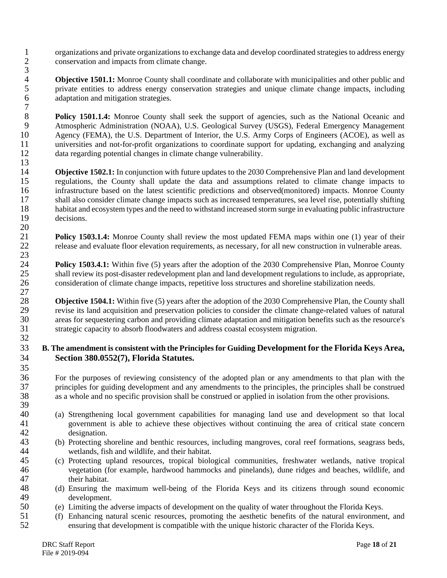1 organizations and private organizations to exchange data and develop coordinated strategies to address energy<br>2 conservation and impacts from climate change. 2 conservation and impacts from climate change. 3

4 **Objective 1501.1:** Monroe County shall coordinate and collaborate with municipalities and other public and private entities to address energy conservation strategies and unique climate change impacts, including 5 private entities to address energy conservation strategies and unique climate change impacts, including adaptation and mitigation strategies. adaptation and mitigation strategies.

 $\begin{array}{c} 7 \\ 8 \end{array}$ **Policy 1501.1.4:** Monroe County shall seek the support of agencies, such as the National Oceanic and<br> **Atmospheric Administration (NOAA)**, U.S. Geological Survey (USGS). Federal Emergency Management 9 Atmospheric Administration (NOAA), U.S. Geological Survey (USGS), Federal Emergency Management<br>10 Agency (FEMA), the U.S. Department of Interior, the U.S. Army Corps of Engineers (ACOE), as well as 10 Agency (FEMA), the U.S. Department of Interior, the U.S. Army Corps of Engineers (ACOE), as well as universities and not-for-profit organizations to coordinate support for updating, exchanging and analyzing 11 universities and not-for-profit organizations to coordinate support for updating, exchanging and analyzing data regarding potential changes in climate change vulnerability. data regarding potential changes in climate change vulnerability.

 $\frac{13}{14}$ 14 **Objective 1502.1:** In conjunction with future updates to the 2030 Comprehensive Plan and land development regulations, the County shall update the data and assumptions related to climate change impacts to 15 regulations, the County shall update the data and assumptions related to climate change impacts to 16 infrastructure based on the latest scientific predictions and observed(monitored) impacts. Monroe County 17 shall also consider climate change impacts such as increased temperatures, sea level rise, potentially shifting<br>18 habitat and ecosystem types and the need to withstand increased storm surge in evaluating public infrast 18 habitat and ecosystem types and the need to withstand increased storm surge in evaluating public infrastructure decisions. decisions.

 $\frac{20}{21}$ **Policy 1503.1.4:** Monroe County shall review the most updated FEMA maps within one (1) year of their release and evaluate floor elevation requirements, as necessary, for all new construction in vulnerable areas. release and evaluate floor elevation requirements, as necessary, for all new construction in vulnerable areas. 23

**Policy 1503.4.1:** Within five (5) years after the adoption of the 2030 Comprehensive Plan, Monroe County shall review its post-disaster redevelopment plan and land development regulations to include, as appropriate. 25 shall review its post-disaster redevelopment plan and land development regulations to include, as appropriate,<br>26 consideration of climate change impacts, repetitive loss structures and shoreline stabilization needs. consideration of climate change impacts, repetitive loss structures and shoreline stabilization needs.

 $\frac{27}{28}$ 28 **Objective 1504.1:** Within five (5) years after the adoption of the 2030 Comprehensive Plan, the County shall revise its land acquisition and preservation policies to consider the climate change-related values of natura 29 revise its land acquisition and preservation policies to consider the climate change-related values of natural<br>30 areas for sequestering carbon and providing climate adaptation and mitigation benefits such as the resour areas for sequestering carbon and providing climate adaptation and mitigation benefits such as the resource's 31 strategic capacity to absorb floodwaters and address coastal ecosystem migration. 32

#### 33 **B. The amendment is consistent with the Principles for Guiding Development for the Florida Keys Area,**  34 **Section 380.0552(7), Florida Statutes.**

36 For the purposes of reviewing consistency of the adopted plan or any amendments to that plan with the principles for guiding development and any amendments to the principles, the principles shall be construed 37 principles for guiding development and any amendments to the principles, the principles shall be construed 38 as a whole and no specific provision shall be construed or applied in isolation from the other provisions.

- 40 (a) Strengthening local government capabilities for managing land use and development so that local government is able to achieve these objectives without continuing the area of critical state concern 41 government is able to achieve these objectives without continuing the area of critical state concern
- 42 designation.<br>43 (b) Protecting sl 43 (b) Protecting shoreline and benthic resources, including mangroves, coral reef formations, seagrass beds, 44 wetlands, fish and wildlife, and their habitat.
- 45 (c) Protecting upland resources, tropical biological communities, freshwater wetlands, native tropical 46 vegetation (for example, hardwood hammocks and pinelands), dune ridges and beaches, wildlife, and 47 their habitat.<br>48 (d) Ensuring the
- 48 (d) Ensuring the maximum well-being of the Florida Keys and its citizens through sound economic 49 development.<br>50 (e) Limiting the a
- 50 (e) Limiting the adverse impacts of development on the quality of water throughout the Florida Keys.<br>51 (f) Enhancing natural scenic resources, promoting the aesthetic benefits of the natural environment
- 51 (f) Enhancing natural scenic resources, promoting the aesthetic benefits of the natural environment, and 52 ensuring that development is compatible with the unique historic character of the Florida Keys.

 $\frac{35}{36}$ 

39<br>40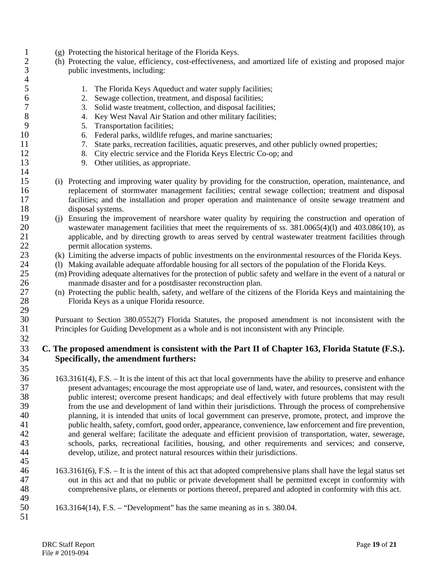- 1 (g) Protecting the historical heritage of the Florida Keys.<br>
2 (h) Protecting the value, efficiency, cost-effectiveness, a
- 2 (h) Protecting the value, efficiency, cost-effectiveness, and amortized life of existing and proposed major 3 public investments, including:
- 5 1. The Florida Keys Aqueduct and water supply facilities;<br>6 2. Sewage collection, treatment, and disposal facilities:
- 6 2. Sewage collection, treatment, and disposal facilities;
	-
- 7 3. Solid waste treatment, collection, and disposal facilities;<br>8 4. Key West Naval Air Station and other military facilities; 8 4. Key West Naval Air Station and other military facilities;<br>9 5. Transportation facilities:
	- 5. Transportation facilities;

 $\frac{4}{5}$ 

 $\frac{14}{15}$ 

29<br>30

32

 $\frac{35}{36}$ 

45

49

- 10 6. Federal parks, wildlife refuges, and marine sanctuaries;
- 11 7. State parks, recreation facilities, aquatic preserves, and other publicly owned properties;<br>12 8. City electric service and the Florida Keys Electric Co-op; and
- 12 8. City electric service and the Florida Keys Electric Co-op; and 13 9. Other utilities, as appropriate.
	- 9. Other utilities, as appropriate.
- 15 (i) Protecting and improving water quality by providing for the construction, operation, maintenance, and 16 replacement of stormwater management facilities; central sewage collection; treatment and disposal 17 facilities; and the installation and proper operation and maintenance of onsite sewage treatment and disposal systems. disposal systems.
- 19 (j) Ensuring the improvement of nearshore water quality by requiring the construction and operation of wastewater management facilities that meet the requirements of ss. 381.0065(4)(l) and 403.086(10). as 20 wastewater management facilities that meet the requirements of ss. 381.0065(4)(1) and 403.086(10), as<br>21 applicable, and by directing growth to areas served by central wastewater treatment facilities through 21 applicable, and by directing growth to areas served by central wastewater treatment facilities through permit allocation systems. permit allocation systems.
- 23 (k) Limiting the adverse impacts of public investments on the environmental resources of the Florida Keys.
- 24 (l) Making available adequate affordable housing for all sectors of the population of the Florida Keys.<br>25 (m) Providing adequate alternatives for the protection of public safety and welfare in the event of a natu
- 25 (m) Providing adequate alternatives for the protection of public safety and welfare in the event of a natural or 26 manmade disaster and for a postdisaster reconstruction plan.
- 27 (n) Protecting the public health, safety, and welfare of the citizens of the Florida Keys and maintaining the Florida Keys as a unique Florida resource. Florida Keys as a unique Florida resource.

30 Pursuant to Section 380.0552(7) Florida Statutes, the proposed amendment is not inconsistent with the 31 Principles for Guiding Development as a whole and is not inconsistent with any Principle.

#### 33 **C. The proposed amendment is consistent with the Part II of Chapter 163, Florida Statute (F.S.).**  34 **Specifically, the amendment furthers:**

- 36 163.3161(4), F.S. It is the intent of this act that local governments have the ability to preserve and enhance<br>37 resent advantages: encourage the most appropriate use of land, water, and resources, consistent with th 37 present advantages; encourage the most appropriate use of land, water, and resources, consistent with the public interest: overcome present handicaps: and deal effectively with future problems that may result 38 public interest; overcome present handicaps; and deal effectively with future problems that may result from the use and development of land within their iurisdictions. Through the process of comprehensive from the use and development of land within their jurisdictions. Through the process of comprehensive 40 planning, it is intended that units of local government can preserve, promote, protect, and improve the 41 public health, safety, comfort, good order, appearance, convenience, law enforcement and fire prevention, 42 and general welfare; facilitate the adequate and efficient provision of transportation, water, sewerage, schools, parks, recreational facilities, housing, and other requirements and services; and conserve, 43 schools, parks, recreational facilities, housing, and other requirements and services; and conserve, develop, utilize, and protect natural resources within their iurisdictions. develop, utilize, and protect natural resources within their jurisdictions.
- 46 163.3161(6), F.S. It is the intent of this act that adopted comprehensive plans shall have the legal status set 47 out in this act and that no public or private development shall be permitted except in conformity with 48 comprehensive plans, or elements or portions thereof, prepared and adopted in conformity with this act.
- 50 163.3164(14), F.S. "Development" has the same meaning as in s. 380.04. 51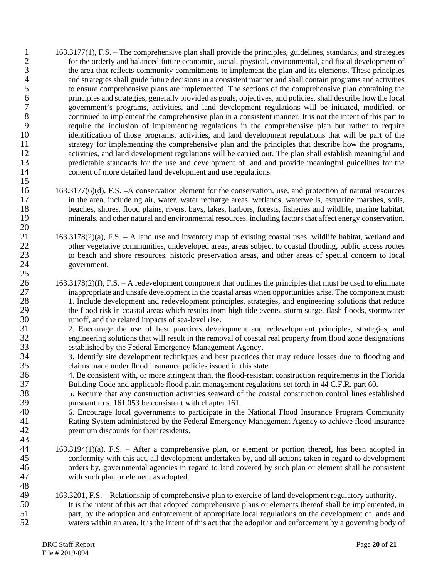- 163.3177(1), F.S. The comprehensive plan shall provide the principles, guidelines, standards, and strategies<br>2 for the orderly and balanced future economic, social, physical, environmental, and fiscal development of for the orderly and balanced future economic, social, physical, environmental, and fiscal development of 3 the area that reflects community commitments to implement the plan and its elements. These principles 4 and strategies shall guide future decisions in a consistent manner and shall contain programs and activities<br>5 to ensure comprehensive plans are implemented. The sections of the comprehensive plan containing the 5 to ensure comprehensive plans are implemented. The sections of the comprehensive plan containing the principles and strategies, generally provided as goals, objectives, and policies, shall describe how the local 6 principles and strategies, generally provided as goals, objectives, and policies, shall describe how the local 7 government's programs, activities, and land development regulations will be initiated, modified, or 8 continued to implement the comprehensive plan in a consistent manner. It is not the intent of this part to<br>9 require the inclusion of implementing regulations in the comprehensive plan but rather to require require the inclusion of implementing regulations in the comprehensive plan but rather to require 10 identification of those programs, activities, and land development regulations that will be part of the 11 strategy for implementing the comprehensive plan and the principles that describe how the programs,<br>12 activities, and land development regulations will be carried out. The plan shall establish meaningful and 12 activities, and land development regulations will be carried out. The plan shall establish meaningful and predictable standards for the use and development of land and provide meaningful guidelines for the predictable standards for the use and development of land and provide meaningful guidelines for the 14 content of more detailed land development and use regulations.
- 16 163.3177(6)(d), F.S. –A conservation element for the conservation, use, and protection of natural resources 17 in the area, include ng air, water, water recharge areas, wetlands, waterwells, estuarine marshes, soils, beaches, shores, flood plains, rivers, bays, lakes, harbors, forests, fisheries and wildlife, marine habitat, beaches, shores, flood plains, rivers, bays, lakes, harbors, forests, fisheries and wildlife, marine habitat, 19 minerals, and other natural and environmental resources, including factors that affect energy conservation.
- 21 163.3178(2)(a), F.S. A land use and inventory map of existing coastal uses, wildlife habitat, wetland and other vegetative communities, undeveloped areas, areas subject to coastal flooding, public access routes other vegetative communities, undeveloped areas, areas subject to coastal flooding, public access routes 23 to beach and shore resources, historic preservation areas, and other areas of special concern to local 24 government.
- 26 163.3178(2)(f), F.S. A redevelopment component that outlines the principles that must be used to eliminate 27 inappropriate and unsafe development in the coastal areas when opportunities arise. The component must:<br>28 1. Include development and redevelopment principles, strategies, and engineering solutions that reduce 28 1. Include development and redevelopment principles, strategies, and engineering solutions that reduce<br>29 the flood risk in coastal areas which results from high-tide events, storm surge, flash floods, stormwater 29 the flood risk in coastal areas which results from high-tide events, storm surge, flash floods, stormwater runoff, and the related impacts of sea-level rise. runoff, and the related impacts of sea-level rise.
- 31 2. Encourage the use of best practices development and redevelopment principles, strategies, and engineering solutions that will result in the removal of coastal real property from flood zone designations 32 engineering solutions that will result in the removal of coastal real property from flood zone designations 33 established by the Federal Emergency Management Agency.
- 34 3. Identify site development techniques and best practices that may reduce losses due to flooding and claims made under flood insurance policies issued in this state. 35 claims made under flood insurance policies issued in this state.<br>36 4. Be consistent with or more stringent than, the flood-resistant
- 36 4. Be consistent with, or more stringent than, the flood-resistant construction requirements in the Florida 37 Building Code and applicable flood plain management regulations set forth in 44 C.F.R. part 60.
- 38 5. Require that any construction activities seaward of the coastal construction control lines established pursuant to s. 161.053 be consistent with chapter 161.
- 40 6. Encourage local governments to participate in the National Flood Insurance Program Community<br>41 Rating System administered by the Federal Emergency Management Agency to achieve flood insurance 41 Rating System administered by the Federal Emergency Management Agency to achieve flood insurance<br>42 memium discounts for their residents. premium discounts for their residents.
- 43 44 163.3194(1)(a), F.S. – After a comprehensive plan, or element or portion thereof, has been adopted in 45 conformity with this act, all development undertaken by, and all actions taken in regard to development 46 orders by, governmental agencies in regard to land covered by such plan or element shall be consistent 47 with such plan or element as adopted. 48
- 163.3201, F.S. Relationship of comprehensive plan to exercise of land development regulatory authority.—<br>50 It is the intent of this act that adopted comprehensive plans or elements thereof shall be implemented, in 50 It is the intent of this act that adopted comprehensive plans or elements thereof shall be implemented, in part, by the adoption and enforcement of appropriate local regulations on the development of lands and 51 part, by the adoption and enforcement of appropriate local regulations on the development of lands and waters within an area. It is the intent of this act that the adoption and enforcement by a governing body of waters within an area. It is the intent of this act that the adoption and enforcement by a governing body of

 $\frac{20}{21}$